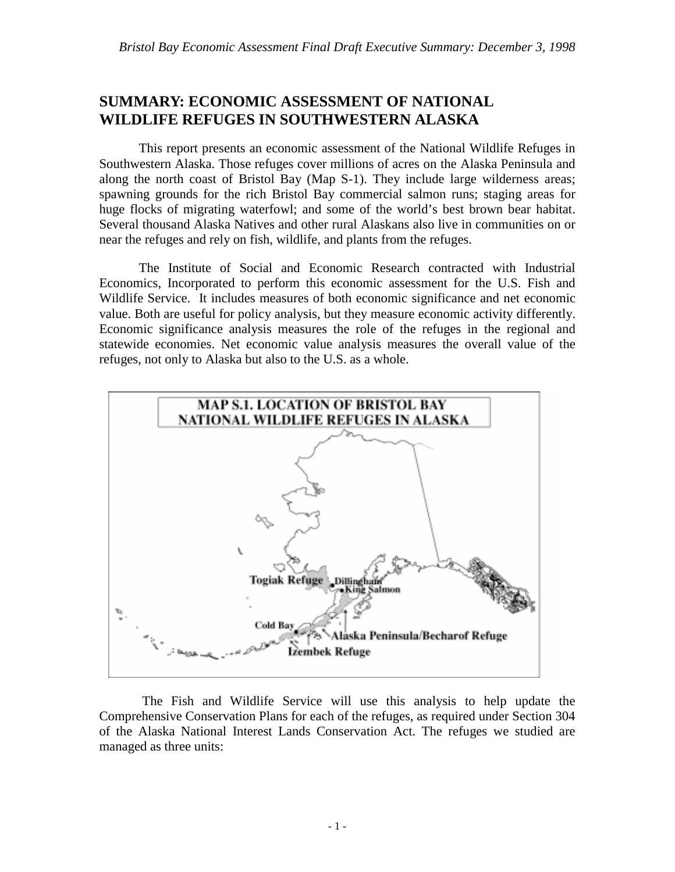# **SUMMARY: ECONOMIC ASSESSMENT OF NATIONAL WILDLIFE REFUGES IN SOUTHWESTERN ALASKA**

This report presents an economic assessment of the National Wildlife Refuges in Southwestern Alaska. Those refuges cover millions of acres on the Alaska Peninsula and along the north coast of Bristol Bay (Map S-1). They include large wilderness areas; spawning grounds for the rich Bristol Bay commercial salmon runs; staging areas for huge flocks of migrating waterfowl; and some of the world's best brown bear habitat. Several thousand Alaska Natives and other rural Alaskans also live in communities on or near the refuges and rely on fish, wildlife, and plants from the refuges.

The Institute of Social and Economic Research contracted with Industrial Economics, Incorporated to perform this economic assessment for the U.S. Fish and Wildlife Service. It includes measures of both economic significance and net economic value. Both are useful for policy analysis, but they measure economic activity differently. Economic significance analysis measures the role of the refuges in the regional and statewide economies. Net economic value analysis measures the overall value of the refuges, not only to Alaska but also to the U.S. as a whole.



 The Fish and Wildlife Service will use this analysis to help update the Comprehensive Conservation Plans for each of the refuges, as required under Section 304 of the Alaska National Interest Lands Conservation Act. The refuges we studied are managed as three units: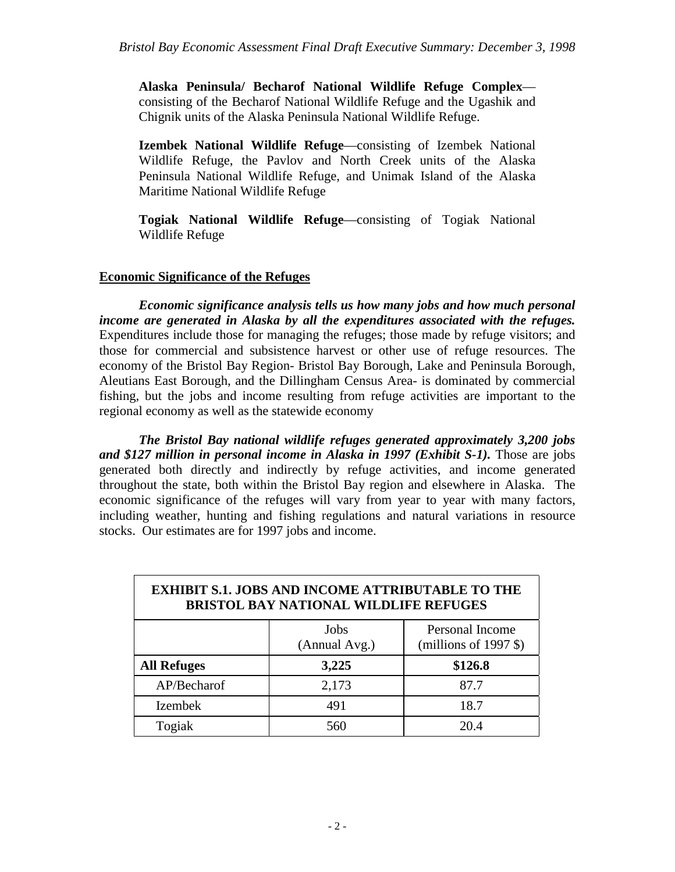**Alaska Peninsula/ Becharof National Wildlife Refuge Complex** consisting of the Becharof National Wildlife Refuge and the Ugashik and Chignik units of the Alaska Peninsula National Wildlife Refuge.

**Izembek National Wildlife Refuge**—consisting of Izembek National Wildlife Refuge, the Pavlov and North Creek units of the Alaska Peninsula National Wildlife Refuge, and Unimak Island of the Alaska Maritime National Wildlife Refuge

**Togiak National Wildlife Refuge**—consisting of Togiak National Wildlife Refuge

### **Economic Significance of the Refuges**

*Economic significance analysis tells us how many jobs and how much personal income are generated in Alaska by all the expenditures associated with the refuges.* Expenditures include those for managing the refuges; those made by refuge visitors; and those for commercial and subsistence harvest or other use of refuge resources. The economy of the Bristol Bay Region- Bristol Bay Borough, Lake and Peninsula Borough, Aleutians East Borough, and the Dillingham Census Area- is dominated by commercial fishing, but the jobs and income resulting from refuge activities are important to the regional economy as well as the statewide economy

*The Bristol Bay national wildlife refuges generated approximately 3,200 jobs and \$127 million in personal income in Alaska in 1997 (Exhibit S-1).* Those are jobs generated both directly and indirectly by refuge activities, and income generated throughout the state, both within the Bristol Bay region and elsewhere in Alaska. The economic significance of the refuges will vary from year to year with many factors, including weather, hunting and fishing regulations and natural variations in resource stocks. Our estimates are for 1997 jobs and income.

| <b>EXHIBIT S.1. JOBS AND INCOME ATTRIBUTABLE TO THE</b><br><b>BRISTOL BAY NATIONAL WILDLIFE REFUGES</b> |                       |                                            |
|---------------------------------------------------------------------------------------------------------|-----------------------|--------------------------------------------|
|                                                                                                         | Jobs<br>(Annual Avg.) | Personal Income<br>(millions of 1997 $$$ ) |
| <b>All Refuges</b>                                                                                      | 3,225                 | \$126.8                                    |
| AP/Becharof                                                                                             | 2,173                 | 87.7                                       |
| <b>Izembek</b>                                                                                          | 491                   | 18.7                                       |
| Togiak                                                                                                  | 560                   | 20.4                                       |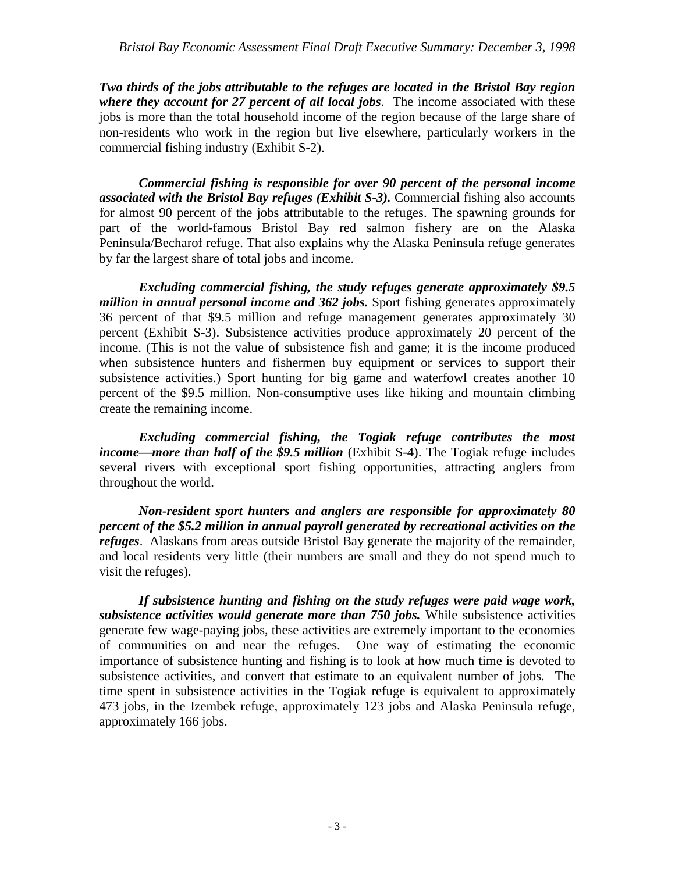*Two thirds of the jobs attributable to the refuges are located in the Bristol Bay region where they account for 27 percent of all local jobs*. The income associated with these jobs is more than the total household income of the region because of the large share of non-residents who work in the region but live elsewhere, particularly workers in the commercial fishing industry (Exhibit S-2).

*Commercial fishing is responsible for over 90 percent of the personal income associated with the Bristol Bay refuges (Exhibit S-3).* Commercial fishing also accounts for almost 90 percent of the jobs attributable to the refuges. The spawning grounds for part of the world-famous Bristol Bay red salmon fishery are on the Alaska Peninsula/Becharof refuge. That also explains why the Alaska Peninsula refuge generates by far the largest share of total jobs and income.

*Excluding commercial fishing, the study refuges generate approximately \$9.5 million in annual personal income and 362 jobs.* Sport fishing generates approximately 36 percent of that \$9.5 million and refuge management generates approximately 30 percent (Exhibit S-3). Subsistence activities produce approximately 20 percent of the income. (This is not the value of subsistence fish and game; it is the income produced when subsistence hunters and fishermen buy equipment or services to support their subsistence activities.) Sport hunting for big game and waterfowl creates another 10 percent of the \$9.5 million. Non-consumptive uses like hiking and mountain climbing create the remaining income.

*Excluding commercial fishing, the Togiak refuge contributes the most income—more than half of the \$9.5 million* (Exhibit S-4). The Togiak refuge includes several rivers with exceptional sport fishing opportunities, attracting anglers from throughout the world.

*Non-resident sport hunters and anglers are responsible for approximately 80 percent of the \$5.2 million in annual payroll generated by recreational activities on the refuges*. Alaskans from areas outside Bristol Bay generate the majority of the remainder, and local residents very little (their numbers are small and they do not spend much to visit the refuges).

*If subsistence hunting and fishing on the study refuges were paid wage work, subsistence activities would generate more than 750 jobs.* While subsistence activities generate few wage-paying jobs, these activities are extremely important to the economies of communities on and near the refuges. One way of estimating the economic importance of subsistence hunting and fishing is to look at how much time is devoted to subsistence activities, and convert that estimate to an equivalent number of jobs. The time spent in subsistence activities in the Togiak refuge is equivalent to approximately 473 jobs, in the Izembek refuge, approximately 123 jobs and Alaska Peninsula refuge, approximately 166 jobs.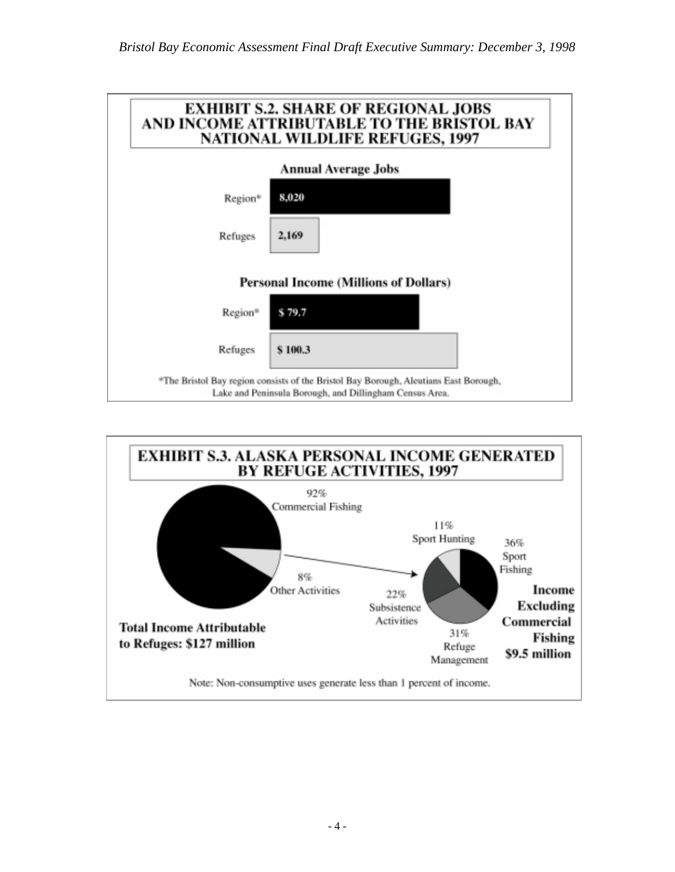

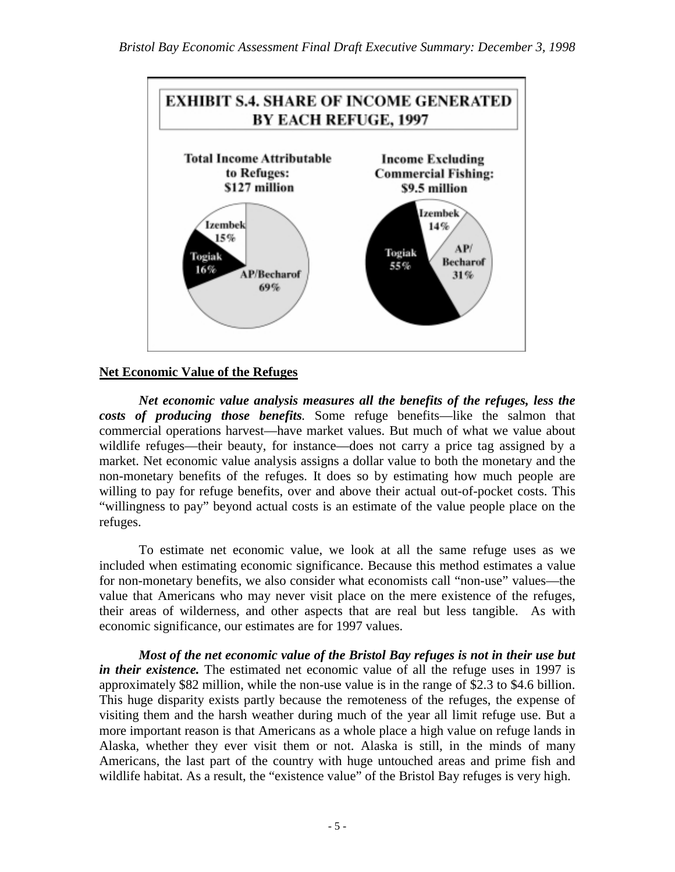

## **Net Economic Value of the Refuges**

*Net economic value analysis measures all the benefits of the refuges, less the costs of producing those benefits.* Some refuge benefits—like the salmon that commercial operations harvest—have market values. But much of what we value about wildlife refuges—their beauty, for instance—does not carry a price tag assigned by a market. Net economic value analysis assigns a dollar value to both the monetary and the non-monetary benefits of the refuges. It does so by estimating how much people are willing to pay for refuge benefits, over and above their actual out-of-pocket costs. This "willingness to pay" beyond actual costs is an estimate of the value people place on the refuges.

To estimate net economic value, we look at all the same refuge uses as we included when estimating economic significance. Because this method estimates a value for non-monetary benefits, we also consider what economists call "non-use" values—the value that Americans who may never visit place on the mere existence of the refuges, their areas of wilderness, and other aspects that are real but less tangible. As with economic significance, our estimates are for 1997 values.

*Most of the net economic value of the Bristol Bay refuges is not in their use but in their existence.* The estimated net economic value of all the refuge uses in 1997 is approximately \$82 million, while the non-use value is in the range of \$2.3 to \$4.6 billion. This huge disparity exists partly because the remoteness of the refuges, the expense of visiting them and the harsh weather during much of the year all limit refuge use. But a more important reason is that Americans as a whole place a high value on refuge lands in Alaska, whether they ever visit them or not. Alaska is still, in the minds of many Americans, the last part of the country with huge untouched areas and prime fish and wildlife habitat. As a result, the "existence value" of the Bristol Bay refuges is very high.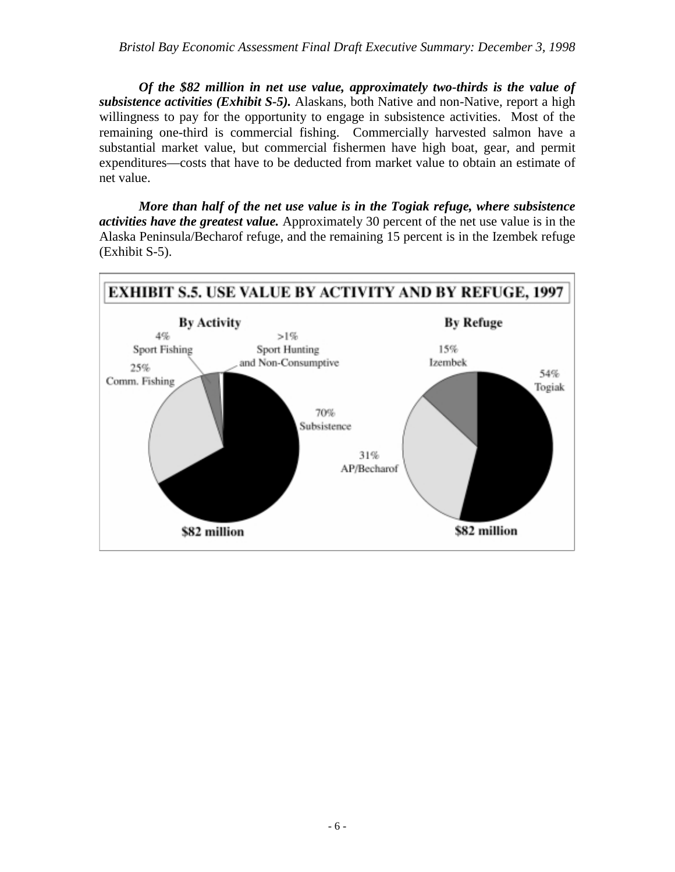*Of the \$82 million in net use value, approximately two-thirds is the value of subsistence activities (Exhibit S-5).* Alaskans, both Native and non-Native, report a high willingness to pay for the opportunity to engage in subsistence activities. Most of the remaining one-third is commercial fishing. Commercially harvested salmon have a substantial market value, but commercial fishermen have high boat, gear, and permit expenditures—costs that have to be deducted from market value to obtain an estimate of net value.

*More than half of the net use value is in the Togiak refuge, where subsistence activities have the greatest value.* Approximately 30 percent of the net use value is in the Alaska Peninsula/Becharof refuge, and the remaining 15 percent is in the Izembek refuge (Exhibit S-5).

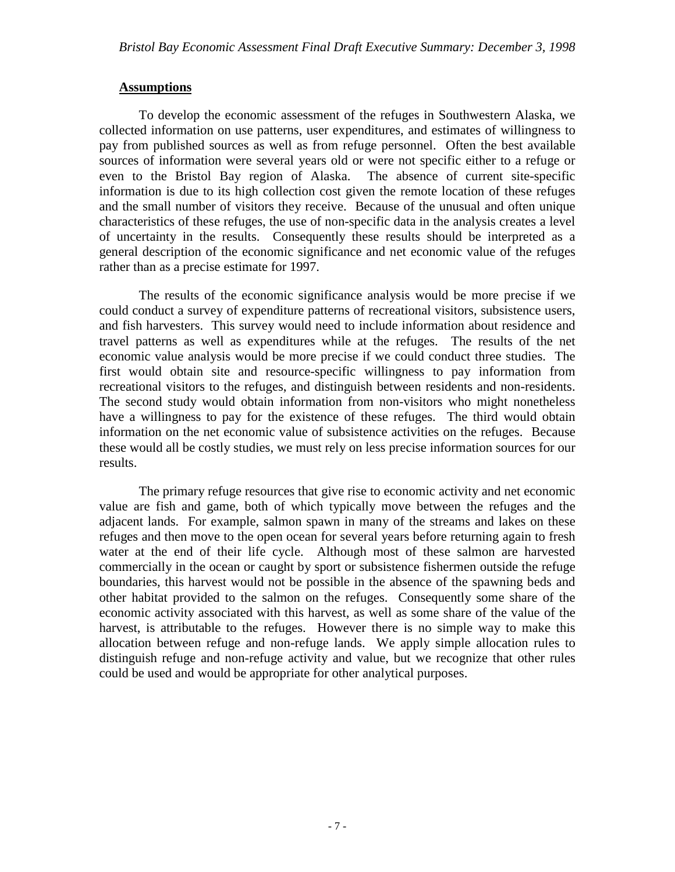#### **Assumptions**

To develop the economic assessment of the refuges in Southwestern Alaska, we collected information on use patterns, user expenditures, and estimates of willingness to pay from published sources as well as from refuge personnel. Often the best available sources of information were several years old or were not specific either to a refuge or even to the Bristol Bay region of Alaska. The absence of current site-specific information is due to its high collection cost given the remote location of these refuges and the small number of visitors they receive. Because of the unusual and often unique characteristics of these refuges, the use of non-specific data in the analysis creates a level of uncertainty in the results. Consequently these results should be interpreted as a general description of the economic significance and net economic value of the refuges rather than as a precise estimate for 1997.

The results of the economic significance analysis would be more precise if we could conduct a survey of expenditure patterns of recreational visitors, subsistence users, and fish harvesters. This survey would need to include information about residence and travel patterns as well as expenditures while at the refuges. The results of the net economic value analysis would be more precise if we could conduct three studies. The first would obtain site and resource-specific willingness to pay information from recreational visitors to the refuges, and distinguish between residents and non-residents. The second study would obtain information from non-visitors who might nonetheless have a willingness to pay for the existence of these refuges. The third would obtain information on the net economic value of subsistence activities on the refuges. Because these would all be costly studies, we must rely on less precise information sources for our results.

The primary refuge resources that give rise to economic activity and net economic value are fish and game, both of which typically move between the refuges and the adjacent lands. For example, salmon spawn in many of the streams and lakes on these refuges and then move to the open ocean for several years before returning again to fresh water at the end of their life cycle. Although most of these salmon are harvested commercially in the ocean or caught by sport or subsistence fishermen outside the refuge boundaries, this harvest would not be possible in the absence of the spawning beds and other habitat provided to the salmon on the refuges. Consequently some share of the economic activity associated with this harvest, as well as some share of the value of the harvest, is attributable to the refuges. However there is no simple way to make this allocation between refuge and non-refuge lands. We apply simple allocation rules to distinguish refuge and non-refuge activity and value, but we recognize that other rules could be used and would be appropriate for other analytical purposes.